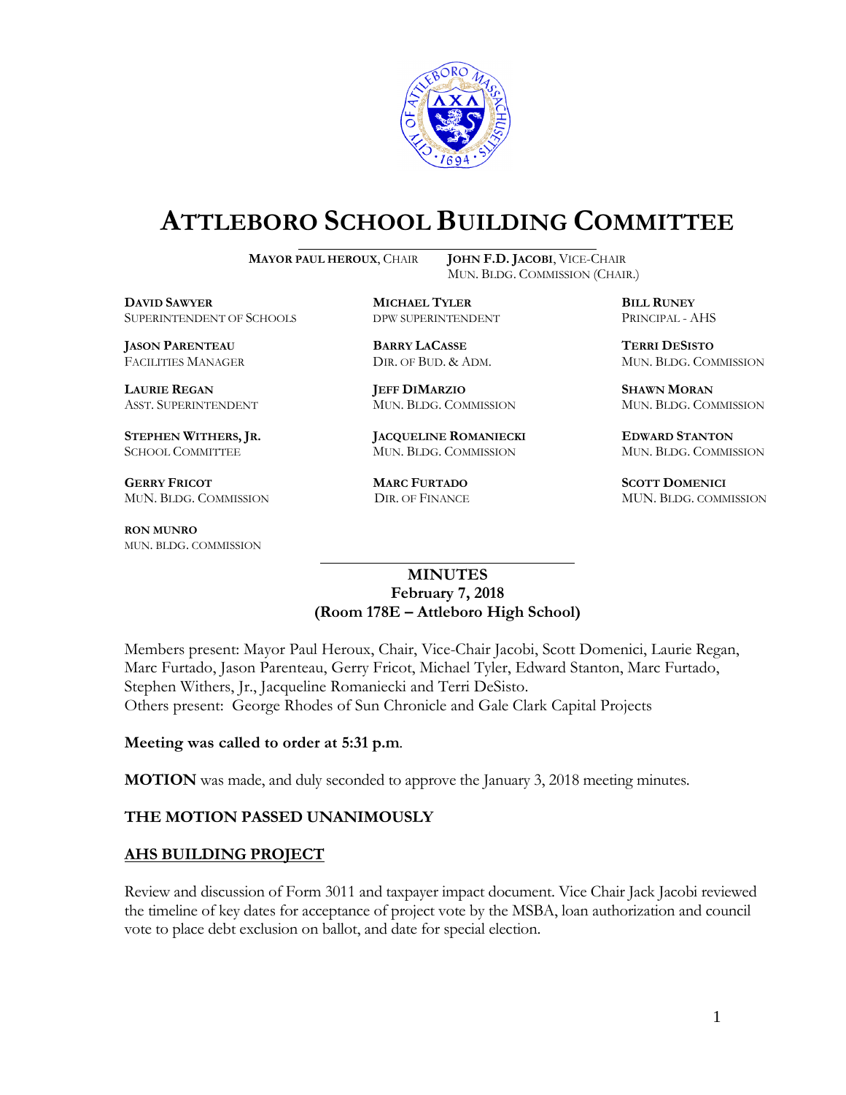

## **ATTLEBORO SCHOOL BUILDING COMMITTEE**

**MAYOR PAUL HEROUX**, CHAIR **JOHN F.D. JACOBI**, VICE-CHAIR

MUN. BLDG. COMMISSION (CHAIR.)

**DAVID SAWYER MICHAEL TYLER BILL RUNEY** SUPERINTENDENT OF SCHOOLS DPW SUPERINTENDENT PRINCIPAL - AHS

**JASON PARENTEAU BARRY LACASSE TERRI DESISTO**

**GERRY FRICOT MARC FURTADO SCOTT DOMENICI** 

**RON MUNRO** MUN. BLDG. COMMISSION

**LAURIE REGAN JEFF DIMARZIO SHAWN MORAN**

**STEPHEN WITHERS, JR. JACQUELINE ROMANIECKI EDWARD STANTON** SCHOOL COMMITTEE MUN. BLDG. COMMISSION MUN. BLDG. COMMISSION

FACILITIES MANAGER DIR. OF BUD. & ADM. MUN. BLDG. COMMISSION

ASST. SUPERINTENDENT MUN. BLDG. COMMISSION MUN. BLDG. COMMISSION

MUN. BLDG. COMMISSION DIR. OF FINANCE MUN. BLDG. COMMISSION

## **MINUTES February 7, 2018 (Room 178E – Attleboro High School)**

\_\_\_\_\_\_\_\_\_\_\_\_\_\_\_\_\_\_\_\_\_\_\_\_\_\_\_\_\_\_\_\_\_\_\_\_\_

Members present: Mayor Paul Heroux, Chair, Vice-Chair Jacobi, Scott Domenici, Laurie Regan, Marc Furtado, Jason Parenteau, Gerry Fricot, Michael Tyler, Edward Stanton, Marc Furtado, Stephen Withers, Jr., Jacqueline Romaniecki and Terri DeSisto. Others present: George Rhodes of Sun Chronicle and Gale Clark Capital Projects

**Meeting was called to order at 5:31 p.m**.

**MOTION** was made, and duly seconded to approve the January 3, 2018 meeting minutes.

## **THE MOTION PASSED UNANIMOUSLY**

## **AHS BUILDING PROJECT**

Review and discussion of Form 3011 and taxpayer impact document. Vice Chair Jack Jacobi reviewed the timeline of key dates for acceptance of project vote by the MSBA, loan authorization and council vote to place debt exclusion on ballot, and date for special election.